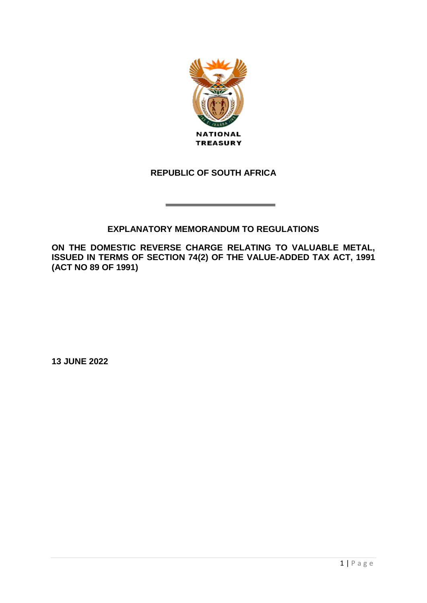

## **REPUBLIC OF SOUTH AFRICA**

## **EXPLANATORY MEMORANDUM TO REGULATIONS**

**ON THE DOMESTIC REVERSE CHARGE RELATING TO VALUABLE METAL, ISSUED IN TERMS OF SECTION 74(2) OF THE VALUE-ADDED TAX ACT, 1991 (ACT NO 89 OF 1991)** 

**13 JUNE 2022**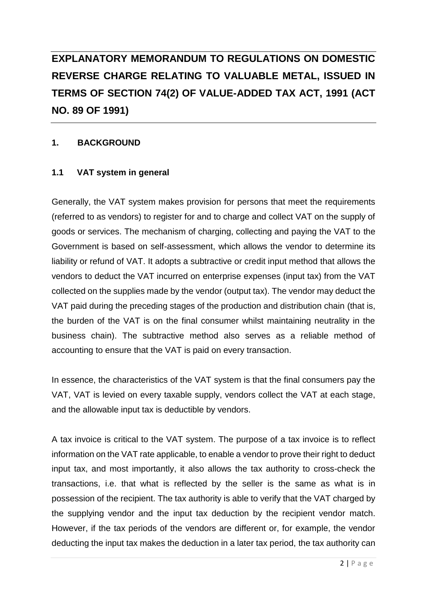# **EXPLANATORY MEMORANDUM TO REGULATIONS ON DOMESTIC REVERSE CHARGE RELATING TO VALUABLE METAL, ISSUED IN TERMS OF SECTION 74(2) OF VALUE-ADDED TAX ACT, 1991 (ACT NO. 89 OF 1991)**

## **1. BACKGROUND**

## **1.1 VAT system in general**

Generally, the VAT system makes provision for persons that meet the requirements (referred to as vendors) to register for and to charge and collect VAT on the supply of goods or services. The mechanism of charging, collecting and paying the VAT to the Government is based on self-assessment, which allows the vendor to determine its liability or refund of VAT. It adopts a subtractive or credit input method that allows the vendors to deduct the VAT incurred on enterprise expenses (input tax) from the VAT collected on the supplies made by the vendor (output tax). The vendor may deduct the VAT paid during the preceding stages of the production and distribution chain (that is, the burden of the VAT is on the final consumer whilst maintaining neutrality in the business chain). The subtractive method also serves as a reliable method of accounting to ensure that the VAT is paid on every transaction.

In essence, the characteristics of the VAT system is that the final consumers pay the VAT, VAT is levied on every taxable supply, vendors collect the VAT at each stage, and the allowable input tax is deductible by vendors.

A tax invoice is critical to the VAT system. The purpose of a tax invoice is to reflect information on the VAT rate applicable, to enable a vendor to prove their right to deduct input tax, and most importantly, it also allows the tax authority to cross-check the transactions, i.e. that what is reflected by the seller is the same as what is in possession of the recipient. The tax authority is able to verify that the VAT charged by the supplying vendor and the input tax deduction by the recipient vendor match. However, if the tax periods of the vendors are different or, for example, the vendor deducting the input tax makes the deduction in a later tax period, the tax authority can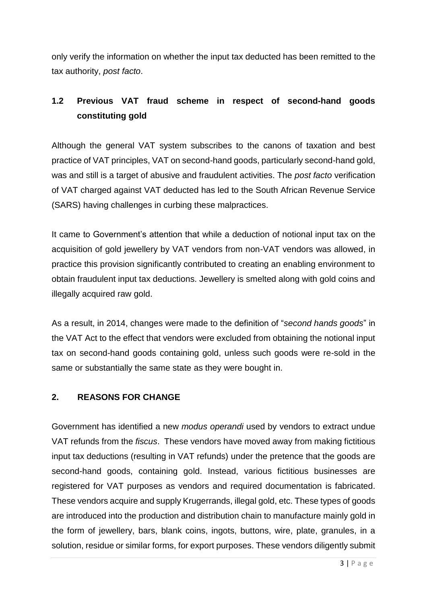only verify the information on whether the input tax deducted has been remitted to the tax authority, *post facto*.

## **1.2 Previous VAT fraud scheme in respect of second-hand goods constituting gold**

Although the general VAT system subscribes to the canons of taxation and best practice of VAT principles, VAT on second-hand goods, particularly second-hand gold, was and still is a target of abusive and fraudulent activities. The *post facto* verification of VAT charged against VAT deducted has led to the South African Revenue Service (SARS) having challenges in curbing these malpractices.

It came to Government's attention that while a deduction of notional input tax on the acquisition of gold jewellery by VAT vendors from non-VAT vendors was allowed, in practice this provision significantly contributed to creating an enabling environment to obtain fraudulent input tax deductions. Jewellery is smelted along with gold coins and illegally acquired raw gold.

As a result, in 2014, changes were made to the definition of "*second hands goods*" in the VAT Act to the effect that vendors were excluded from obtaining the notional input tax on second-hand goods containing gold, unless such goods were re-sold in the same or substantially the same state as they were bought in.

## **2. REASONS FOR CHANGE**

Government has identified a new *modus operandi* used by vendors to extract undue VAT refunds from the *fiscus*. These vendors have moved away from making fictitious input tax deductions (resulting in VAT refunds) under the pretence that the goods are second-hand goods, containing gold. Instead, various fictitious businesses are registered for VAT purposes as vendors and required documentation is fabricated. These vendors acquire and supply Krugerrands, illegal gold, etc. These types of goods are introduced into the production and distribution chain to manufacture mainly gold in the form of jewellery, bars, blank coins, ingots, buttons, wire, plate, granules, in a solution, residue or similar forms, for export purposes. These vendors diligently submit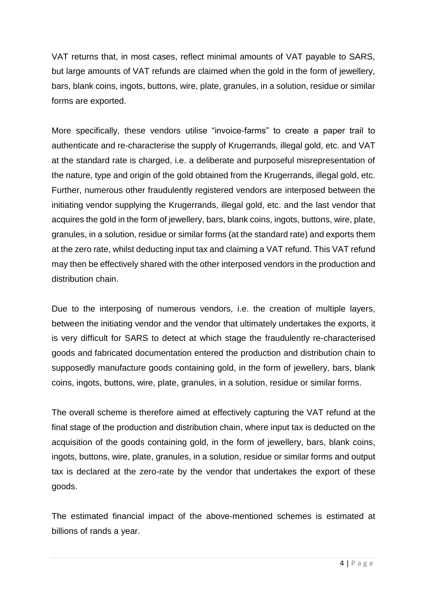VAT returns that, in most cases, reflect minimal amounts of VAT payable to SARS, but large amounts of VAT refunds are claimed when the gold in the form of jewellery, bars, blank coins, ingots, buttons, wire, plate, granules, in a solution, residue or similar forms are exported.

More specifically, these vendors utilise "invoice-farms" to create a paper trail to authenticate and re-characterise the supply of Krugerrands, illegal gold, etc. and VAT at the standard rate is charged, i.e. a deliberate and purposeful misrepresentation of the nature, type and origin of the gold obtained from the Krugerrands, illegal gold, etc. Further, numerous other fraudulently registered vendors are interposed between the initiating vendor supplying the Krugerrands, illegal gold, etc. and the last vendor that acquires the gold in the form of jewellery, bars, blank coins, ingots, buttons, wire, plate, granules, in a solution, residue or similar forms (at the standard rate) and exports them at the zero rate, whilst deducting input tax and claiming a VAT refund. This VAT refund may then be effectively shared with the other interposed vendors in the production and distribution chain.

Due to the interposing of numerous vendors, i.e. the creation of multiple layers, between the initiating vendor and the vendor that ultimately undertakes the exports, it is very difficult for SARS to detect at which stage the fraudulently re-characterised goods and fabricated documentation entered the production and distribution chain to supposedly manufacture goods containing gold, in the form of jewellery, bars, blank coins, ingots, buttons, wire, plate, granules, in a solution, residue or similar forms.

The overall scheme is therefore aimed at effectively capturing the VAT refund at the final stage of the production and distribution chain, where input tax is deducted on the acquisition of the goods containing gold, in the form of jewellery, bars, blank coins, ingots, buttons, wire, plate, granules, in a solution, residue or similar forms and output tax is declared at the zero-rate by the vendor that undertakes the export of these goods.

The estimated financial impact of the above-mentioned schemes is estimated at billions of rands a year.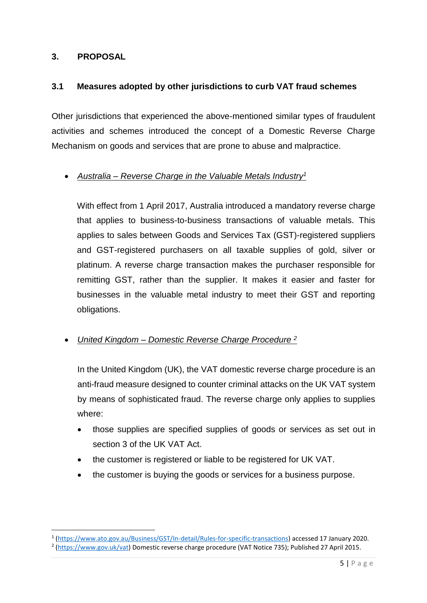#### **3. PROPOSAL**

1

#### **3.1 Measures adopted by other jurisdictions to curb VAT fraud schemes**

Other jurisdictions that experienced the above-mentioned similar types of fraudulent activities and schemes introduced the concept of a Domestic Reverse Charge Mechanism on goods and services that are prone to abuse and malpractice.

## *Australia – Reverse Charge in the Valuable Metals Industry<sup>1</sup>*

With effect from 1 April 2017, Australia introduced a mandatory reverse charge that applies to business-to-business transactions of valuable metals. This applies to sales between Goods and Services Tax (GST)-registered suppliers and GST-registered purchasers on all taxable supplies of gold, silver or platinum. A reverse charge transaction makes the purchaser responsible for remitting GST, rather than the supplier. It makes it easier and faster for businesses in the valuable metal industry to meet their GST and reporting obligations.

## *United Kingdom – Domestic Reverse Charge Procedure <sup>2</sup>*

In the United Kingdom (UK), the VAT domestic reverse charge procedure is an anti-fraud measure designed to counter criminal attacks on the UK VAT system by means of sophisticated fraud. The reverse charge only applies to supplies where:

- those supplies are specified supplies of goods or services as set out in section 3 of the UK VAT Act.
- the customer is registered or liable to be registered for UK VAT.
- the customer is buying the goods or services for a business purpose.

<sup>1</sup> [\(https://www.ato.gov.au/Business/GST/In-detail/Rules-for-specific-transactions\)](https://www.ato.gov.au/Business/GST/In-detail/Rules-for-specific-transactions) accessed 17 January 2020.

<sup>&</sup>lt;sup>2</sup> [\(https://www.gov.uk/vat\)](https://www.gov.uk/vat) Domestic reverse charge procedure (VAT Notice 735); Published 27 April 2015.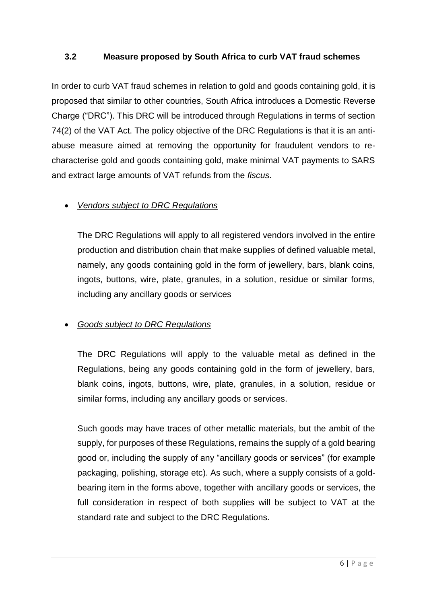## **3.2 Measure proposed by South Africa to curb VAT fraud schemes**

In order to curb VAT fraud schemes in relation to gold and goods containing gold, it is proposed that similar to other countries, South Africa introduces a Domestic Reverse Charge ("DRC"). This DRC will be introduced through Regulations in terms of section 74(2) of the VAT Act. The policy objective of the DRC Regulations is that it is an antiabuse measure aimed at removing the opportunity for fraudulent vendors to recharacterise gold and goods containing gold, make minimal VAT payments to SARS and extract large amounts of VAT refunds from the *fiscus*.

## *Vendors subject to DRC Regulations*

The DRC Regulations will apply to all registered vendors involved in the entire production and distribution chain that make supplies of defined valuable metal, namely, any goods containing gold in the form of jewellery, bars, blank coins, ingots, buttons, wire, plate, granules, in a solution, residue or similar forms, including any ancillary goods or services

## *Goods subject to DRC Regulations*

The DRC Regulations will apply to the valuable metal as defined in the Regulations, being any goods containing gold in the form of jewellery, bars, blank coins, ingots, buttons, wire, plate, granules, in a solution, residue or similar forms, including any ancillary goods or services.

Such goods may have traces of other metallic materials, but the ambit of the supply, for purposes of these Regulations, remains the supply of a gold bearing good or, including the supply of any "ancillary goods or services" (for example packaging, polishing, storage etc). As such, where a supply consists of a goldbearing item in the forms above, together with ancillary goods or services, the full consideration in respect of both supplies will be subject to VAT at the standard rate and subject to the DRC Regulations.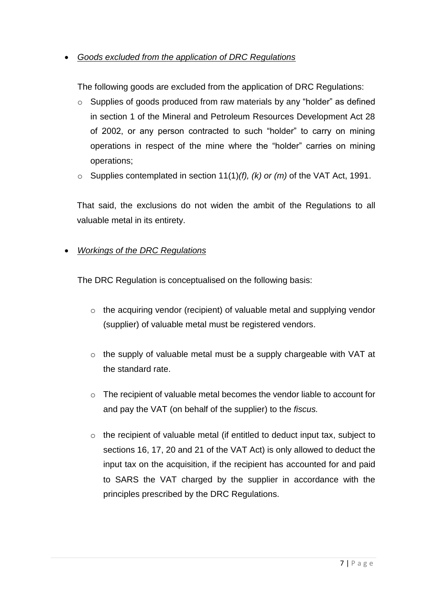*Goods excluded from the application of DRC Regulations*

The following goods are excluded from the application of DRC Regulations:

- o Supplies of goods produced from raw materials by any "holder" as defined in section 1 of the Mineral and Petroleum Resources Development Act 28 of 2002, or any person contracted to such "holder" to carry on mining operations in respect of the mine where the "holder" carries on mining operations;
- o Supplies contemplated in section 11(1)*(f), (k) or (m)* of the VAT Act, 1991.

That said, the exclusions do not widen the ambit of the Regulations to all valuable metal in its entirety.

## *Workings of the DRC Regulations*

The DRC Regulation is conceptualised on the following basis:

- o the acquiring vendor (recipient) of valuable metal and supplying vendor (supplier) of valuable metal must be registered vendors.
- o the supply of valuable metal must be a supply chargeable with VAT at the standard rate.
- o The recipient of valuable metal becomes the vendor liable to account for and pay the VAT (on behalf of the supplier) to the *fiscus.*
- o the recipient of valuable metal (if entitled to deduct input tax, subject to sections 16, 17, 20 and 21 of the VAT Act) is only allowed to deduct the input tax on the acquisition, if the recipient has accounted for and paid to SARS the VAT charged by the supplier in accordance with the principles prescribed by the DRC Regulations.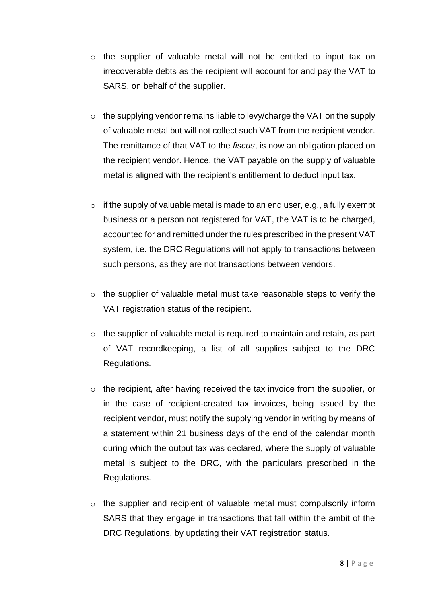- o the supplier of valuable metal will not be entitled to input tax on irrecoverable debts as the recipient will account for and pay the VAT to SARS, on behalf of the supplier.
- o the supplying vendor remains liable to levy/charge the VAT on the supply of valuable metal but will not collect such VAT from the recipient vendor. The remittance of that VAT to the *fiscus*, is now an obligation placed on the recipient vendor. Hence, the VAT payable on the supply of valuable metal is aligned with the recipient's entitlement to deduct input tax.
- $\circ$  if the supply of valuable metal is made to an end user, e.g., a fully exempt business or a person not registered for VAT, the VAT is to be charged, accounted for and remitted under the rules prescribed in the present VAT system, i.e. the DRC Regulations will not apply to transactions between such persons, as they are not transactions between vendors.
- o the supplier of valuable metal must take reasonable steps to verify the VAT registration status of the recipient.
- o the supplier of valuable metal is required to maintain and retain, as part of VAT recordkeeping, a list of all supplies subject to the DRC Regulations.
- o the recipient, after having received the tax invoice from the supplier, or in the case of recipient-created tax invoices, being issued by the recipient vendor, must notify the supplying vendor in writing by means of a statement within 21 business days of the end of the calendar month during which the output tax was declared, where the supply of valuable metal is subject to the DRC, with the particulars prescribed in the Regulations.
- $\circ$  the supplier and recipient of valuable metal must compulsorily inform SARS that they engage in transactions that fall within the ambit of the DRC Regulations, by updating their VAT registration status.